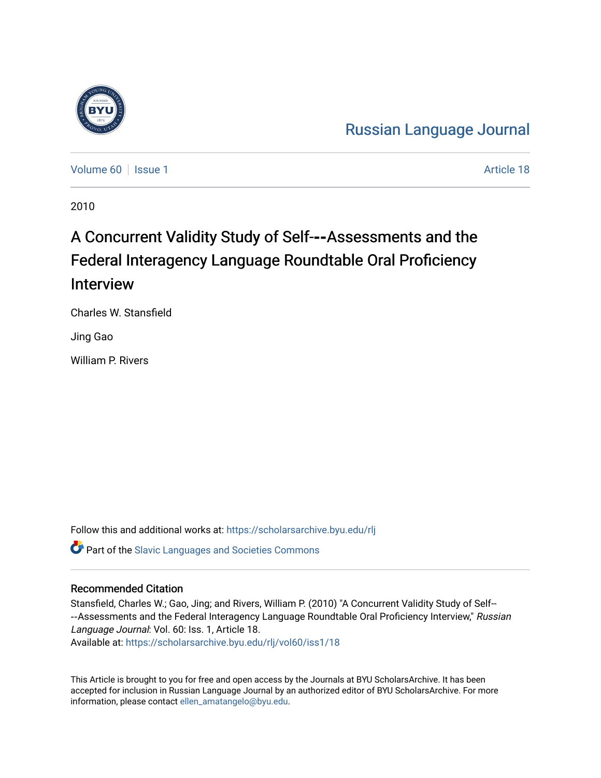

[Volume 60](https://scholarsarchive.byu.edu/rlj/vol60) | [Issue 1](https://scholarsarchive.byu.edu/rlj/vol60/iss1) Article 18

2010

# A Concurrent Validity Study of Self-**‐‑**Assessments and the Federal Interagency Language Roundtable Oral Proficiency Interview

Charles W. Stansfield

Jing Gao

William P. Rivers

Follow this and additional works at: [https://scholarsarchive.byu.edu/rlj](https://scholarsarchive.byu.edu/rlj?utm_source=scholarsarchive.byu.edu%2Frlj%2Fvol60%2Fiss1%2F18&utm_medium=PDF&utm_campaign=PDFCoverPages) **C** Part of the Slavic Languages and Societies Commons

#### Recommended Citation

Stansfield, Charles W.; Gao, Jing; and Rivers, William P. (2010) "A Concurrent Validity Study of Self-- --Assessments and the Federal Interagency Language Roundtable Oral Proficiency Interview," Russian Language Journal: Vol. 60: Iss. 1, Article 18. Available at: [https://scholarsarchive.byu.edu/rlj/vol60/iss1/18](https://scholarsarchive.byu.edu/rlj/vol60/iss1/18?utm_source=scholarsarchive.byu.edu%2Frlj%2Fvol60%2Fiss1%2F18&utm_medium=PDF&utm_campaign=PDFCoverPages)

This Article is brought to you for free and open access by the Journals at BYU ScholarsArchive. It has been accepted for inclusion in Russian Language Journal by an authorized editor of BYU ScholarsArchive. For more information, please contact [ellen\\_amatangelo@byu.edu.](mailto:ellen_amatangelo@byu.edu)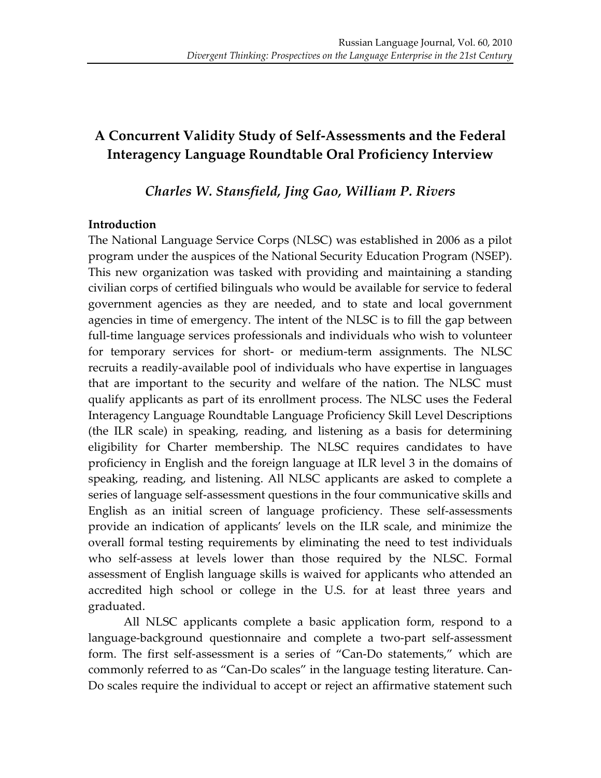## A Concurrent Validity Study of Self-Assessments and the Federal **Interagency Language Roundtable Oral Proficiency Interview**

*Charles!W.!Stansfield,!Jing!Gao,!William!P.!Rivers*

#### **Introduction**

The National Language Service Corps (NLSC) was established in 2006 as a pilot program under the auspices of the National Security Education Program (NSEP). This new organization was tasked with providing and maintaining a standing civilian'corps'of'certified'bilinguals'who'would'be'available'for'service'to'federal' government agencies as they are needed, and to state and local government agencies in time of emergency. The intent of the NLSC is to fill the gap between full-time language services professionals and individuals who wish to volunteer for temporary services for short- or medium-term assignments. The NLSC recruits a readily-available pool of individuals who have expertise in languages that are important to the security and welfare of the nation. The NLSC must qualify applicants as part of its enrollment process. The NLSC uses the Federal Interagency Language Roundtable Language Proficiency Skill Level Descriptions (the ILR scale) in speaking, reading, and listening as a basis for determining eligibility for Charter membership. The NLSC requires candidates to have proficiency in English and the foreign language at ILR level 3 in the domains of speaking, reading, and listening. All NLSC applicants are asked to complete a series of language self-assessment questions in the four communicative skills and English as an initial screen of language proficiency. These self-assessments provide an indication of applicants' levels on the ILR scale, and minimize the overall' formal testing requirements by eliminating the need to test individuals who self-assess at levels lower than those required by the NLSC. Formal assessment of English language skills is waived for applicants who attended an accredited high school or college in the U.S. for at least three years and graduated.

All NLSC applicants complete a basic application form, respond to a language-background questionnaire and complete a two-part self-assessment form. The first self-assessment is a series of "Can-Do statements," which are commonly referred to as "Can-Do scales" in the language testing literature. Can-Do scales require the individual to accept or reject an affirmative statement such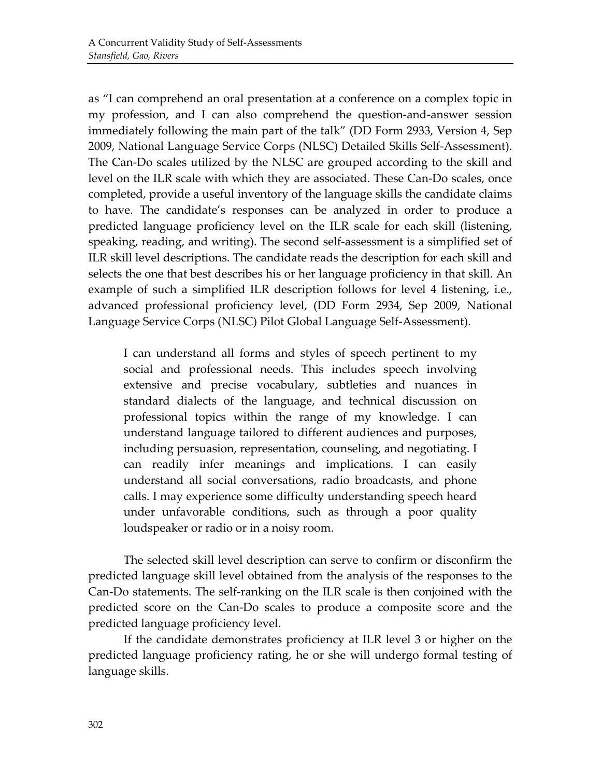as "I can comprehend an oral presentation at a conference on a complex topic in my profession, and I can also comprehend the question-and-answer session immediately following the main part of the talk" (DD Form 2933, Version 4, Sep) 2009, National Language Service Corps (NLSC) Detailed Skills Self-Assessment). The Can-Do scales utilized by the NLSC are grouped according to the skill and level on the ILR scale with which they are associated. These Can-Do scales, once completed, provide a useful inventory of the language skills the candidate claims to have. The candidate's responses can be analyzed in order to produce a predicted language proficiency level on the ILR scale for each skill (listening, speaking, reading, and writing). The second self-assessment is a simplified set of ILR skill level descriptions. The candidate reads the description for each skill and selects the one that best describes his or her language proficiency in that skill. An example of such a simplified ILR description follows for level 4 listening, i.e., advanced professional proficiency level, (DD Form 2934, Sep 2009, National Language Service Corps (NLSC) Pilot Global Language Self-Assessment).

I can understand all forms and styles of speech pertinent to my social and professional needs. This includes speech involving extensive and precise vocabulary, subtleties and nuances in standard dialects of the language, and technical discussion on professional topics within the range of my knowledge. I can understand language tailored to different audiences and purposes, including persuasion, representation, counseling, and negotiating. I can readily infer meanings and implications. I can easily understand all social conversations, radio broadcasts, and phone calls. I may experience some difficulty understanding speech heard under unfavorable conditions, such as through a poor quality loudspeaker or radio or in a noisy room.

The selected skill level description can serve to confirm or disconfirm the predicted language skill level obtained from the analysis of the responses to the Can-Do statements. The self-ranking on the ILR scale is then conjoined with the predicted score on the Can-Do scales to produce a composite score and the predicted language proficiency level.

If the candidate demonstrates proficiency at ILR level 3 or higher on the predicted language proficiency rating, he or she will undergo formal testing of language skills.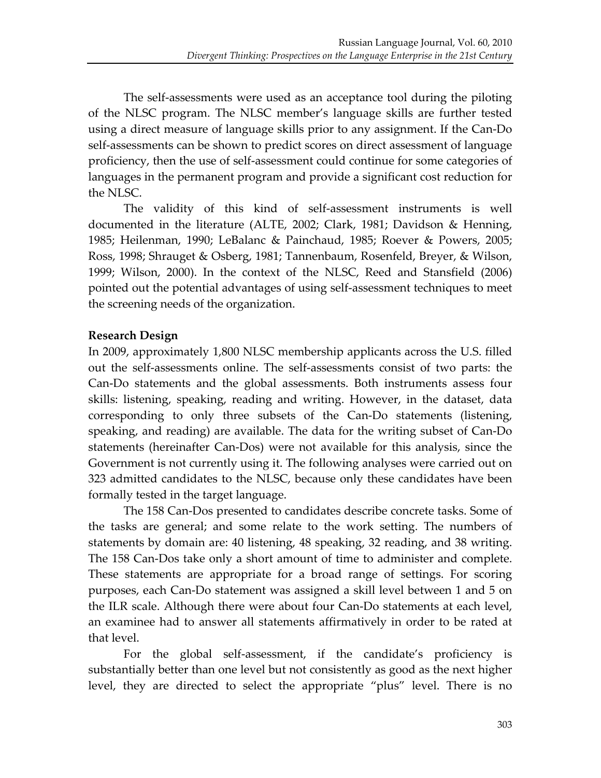The self-assessments were used as an acceptance tool during the piloting of the NLSC program. The NLSC member's language skills are further tested using a direct measure of language skills prior to any assignment. If the Can-Do self-assessments can be shown to predict scores on direct assessment of language proficiency, then the use of self-assessment could continue for some categories of languages in the permanent program and provide a significant cost reduction for the NLSC.

The validity of this kind of self-assessment instruments is well documented in the literature (ALTE, 2002; Clark, 1981; Davidson & Henning, 1985; Heilenman, 1990; LeBalanc & Painchaud, 1985; Roever & Powers, 2005; Ross, 1998; Shrauget & Osberg, 1981; Tannenbaum, Rosenfeld, Breyer, & Wilson, 1999; Wilson, 2000). In the context of the NLSC, Reed and Stansfield (2006) pointed out the potential advantages of using self-assessment techniques to meet the screening needs of the organization.

## **Research!Design!**

In 2009, approximately 1,800 NLSC membership applicants across the U.S. filled out the self-assessments online. The self-assessments consist of two parts: the Can-Do statements and the global assessments. Both instruments assess four skills: listening, speaking, reading and writing. However, in the dataset, data corresponding to only three subsets of the Can-Do statements (listening, speaking, and reading) are available. The data for the writing subset of Can-Do statements (hereinafter Can-Dos) were not available for this analysis, since the Government is not currently using it. The following analyses were carried out on 323 admitted candidates to the NLSC, because only these candidates have been formally tested in the target language.

The 158 Can-Dos presented to candidates describe concrete tasks. Some of the tasks are general; and some relate to the work setting. The numbers of statements by domain are: 40 listening, 48 speaking, 32 reading, and 38 writing. The 158 Can-Dos take only a short amount of time to administer and complete. These statements are appropriate for a broad range of settings. For scoring purposes, each Can-Do statement was assigned a skill level between 1 and 5 on the ILR scale. Although there were about four Can-Do statements at each level, an examinee had to answer all statements affirmatively in order to be rated at that level.

For the global self-assessment, if the candidate's proficiency is substantially better than one level but not consistently as good as the next higher level, they are directed to select the appropriate "plus" level. There is no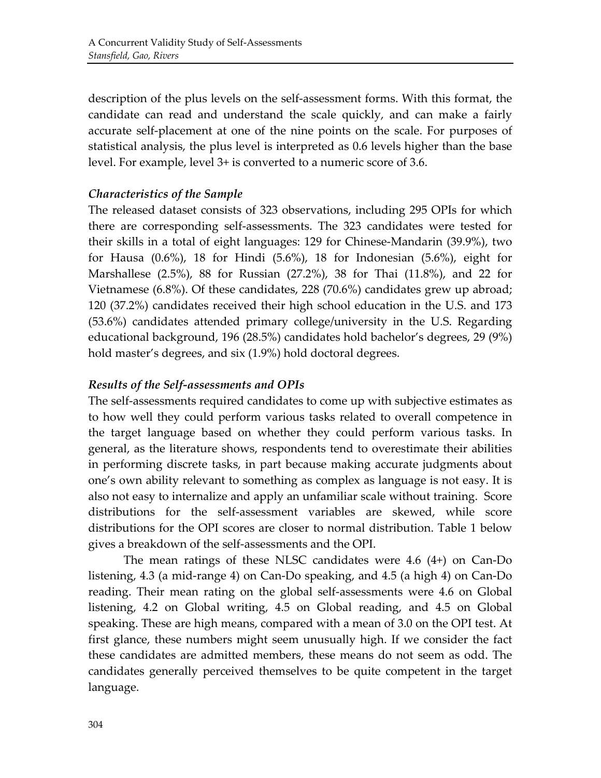description of the plus levels on the self-assessment forms. With this format, the candidate can read and understand the scale quickly, and can make a fairly accurate self-placement at one of the nine points on the scale. For purposes of statistical analysis, the plus level is interpreted as 0.6 levels higher than the base level. For example, level 3+ is converted to a numeric score of 3.6.

#### *Characteristics!of!the!Sample*

The released dataset consists of 323 observations, including 295 OPIs for which there are corresponding self-assessments. The 323 candidates were tested for their skills in a total of eight languages: 129 for Chinese-Mandarin (39.9%), two for Hausa  $(0.6\%)$ , 18 for Hindi  $(5.6\%)$ , 18 for Indonesian  $(5.6\%)$ , eight for Marshallese (2.5%), 88 for Russian (27.2%), 38 for Thai (11.8%), and 22 for Vietnamese (6.8%). Of these candidates, 228 (70.6%) candidates grew up abroad; 120 (37.2%) candidates received their high school education in the U.S. and 173 (53.6%) candidates attended primary college/university in the U.S. Regarding educational background, 196 (28.5%) candidates hold bachelor's degrees, 29 (9%) hold master's degrees, and six (1.9%) hold doctoral degrees.

#### *Results!of!the!Self=assessments!and!OPIs*

The self-assessments required candidates to come up with subjective estimates as to how well they could perform various tasks related to overall competence in the target language based on whether they could perform various tasks. In general, as the literature shows, respondents tend to overestimate their abilities in performing discrete tasks, in part because making accurate judgments about one's own ability relevant to something as complex as language is not easy. It is also not easy to internalize and apply an unfamiliar scale without training. Score distributions for the self-assessment variables are skewed, while score distributions for the OPI scores are closer to normal distribution. Table 1 below gives a breakdown of the self-assessments and the OPI.

The mean ratings of these NLSC candidates were  $4.6$  (4+) on Can-Do listening,  $4.3$  (a mid-range 4) on Can-Do speaking, and  $4.5$  (a high 4) on Can-Do reading. Their mean rating on the global self-assessments were 4.6 on Global listening, 4.2 on Global writing, 4.5 on Global reading, and 4.5 on Global speaking. These are high means, compared with a mean of 3.0 on the OPI test. At first glance, these numbers might seem unusually high. If we consider the fact these candidates are admitted members, these means do not seem as odd. The candidates generally perceived themselves to be quite competent in the target language.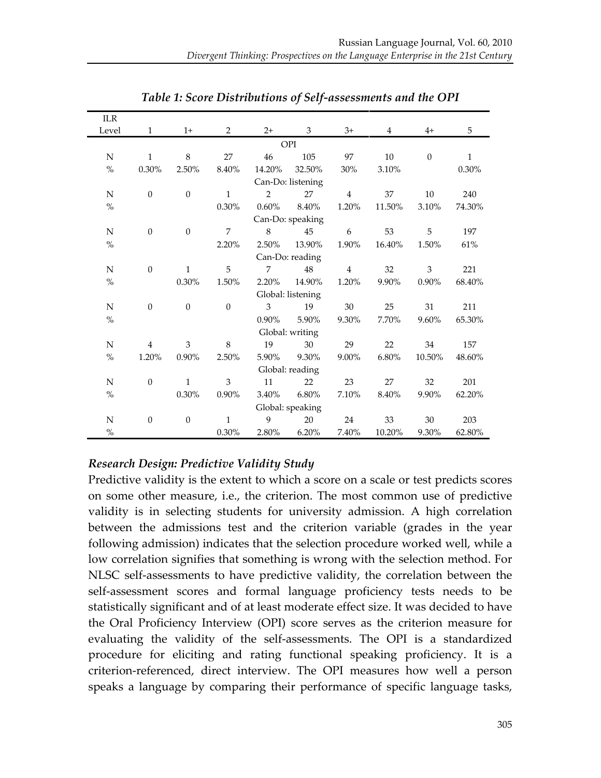| <b>ILR</b>  |                  |                  |              |                |                   |                |                |              |              |  |  |
|-------------|------------------|------------------|--------------|----------------|-------------------|----------------|----------------|--------------|--------------|--|--|
| Level       | $\mathbf{1}$     | $1+$             | 2            | $2+$           | 3                 | $3+$           | $\overline{4}$ | $4+$         | 5            |  |  |
|             | OPI              |                  |              |                |                   |                |                |              |              |  |  |
| N           | $\mathbf{1}$     | $\,8\,$          | 27           | 46             | 105               | 97             | 10             | $\mathbf{0}$ | $\mathbf{1}$ |  |  |
| $\%$        | 0.30%            | 2.50%            | 8.40%        | 14.20%         | 32.50%            | 30%            | 3.10%          |              | 0.30%        |  |  |
|             |                  |                  |              |                | Can-Do: listening |                |                |              |              |  |  |
| N           | $\mathbf{0}$     | $\boldsymbol{0}$ | $\mathbf{1}$ | $\overline{2}$ | 27                | $\overline{4}$ | 37             | 10           | 240          |  |  |
| $\%$        |                  |                  | 0.30%        | $0.60\%$       | 8.40%             | 1.20%          | 11.50%         | 3.10%        | 74.30%       |  |  |
|             |                  |                  |              |                | Can-Do: speaking  |                |                |              |              |  |  |
| N           | $\boldsymbol{0}$ | $\boldsymbol{0}$ | 7            | 8              | 45                | 6              | 53             | 5            | 197          |  |  |
| $\%$        |                  |                  | 2.20%        | 2.50%          | 13.90%            | 1.90%          | 16.40%         | 1.50%        | 61%          |  |  |
|             |                  |                  |              |                | Can-Do: reading   |                |                |              |              |  |  |
| N           | $\mathbf{0}$     | $\mathbf{1}$     | 5            | $\overline{7}$ | 48                | $\overline{4}$ | 32             | 3            | 221          |  |  |
| $\%$        |                  | $0.30\%$         | 1.50%        | 2.20%          | 14.90%            | 1.20%          | 9.90%          | $0.90\%$     | 68.40%       |  |  |
|             |                  |                  |              |                | Global: listening |                |                |              |              |  |  |
| N           | $\boldsymbol{0}$ | $\mathbf{0}$     | $\theta$     | 3              | 19                | 30             | 25             | 31           | 211          |  |  |
| $\%$        |                  |                  |              | 0.90%          | 5.90%             | 9.30%          | 7.70%          | 9.60%        | 65.30%       |  |  |
|             |                  |                  |              |                | Global: writing   |                |                |              |              |  |  |
| N           | $\overline{4}$   | 3                | 8            | 19             | 30                | 29             | 22             | 34           | 157          |  |  |
| $\%$        | 1.20%            | 0.90%            | 2.50%        | 5.90%          | 9.30%             | 9.00%          | 6.80%          | 10.50%       | 48.60%       |  |  |
|             |                  |                  |              |                | Global: reading   |                |                |              |              |  |  |
| $\mathbf N$ | $\boldsymbol{0}$ | $\mathbf 1$      | 3            | 11             | 22                | 23             | 27             | 32           | 201          |  |  |
| $\%$        |                  | 0.30%            | 0.90%        | 3.40%          | 6.80%             | 7.10%          | 8.40%          | 9.90%        | 62.20%       |  |  |
|             |                  |                  |              |                | Global: speaking  |                |                |              |              |  |  |
| N           | $\mathbf{0}$     | $\boldsymbol{0}$ | $\mathbf{1}$ | 9              | 20                | 24             | 33             | 30           | 203          |  |  |
| $\%$        |                  |                  | 0.30%        | 2.80%          | 6.20%             | 7.40%          | 10.20%         | 9.30%        | 62.80%       |  |  |

*Table 1: Score Distributions of Self-assessments and the OPI* 

## *Research!Design:!Predictive!Validity!Study*

Predictive validity is the extent to which a score on a scale or test predicts scores on some other measure, i.e., the criterion. The most common use of predictive validity is in selecting students for university admission. A high correlation between the admissions test and the criterion variable (grades in the year following admission) indicates that the selection procedure worked well, while a low correlation signifies that something is wrong with the selection method. For NLSC self-assessments to have predictive validity, the correlation between the self-assessment scores and formal language proficiency tests needs to be statistically significant and of at least moderate effect size. It was decided to have the Oral Proficiency Interview (OPI) score serves as the criterion measure for evaluating the validity of the self-assessments. The OPI is a standardized procedure for eliciting and rating functional speaking proficiency. It is a criterion-referenced, direct interview. The OPI measures how well a person speaks a language by comparing their performance of specific language tasks,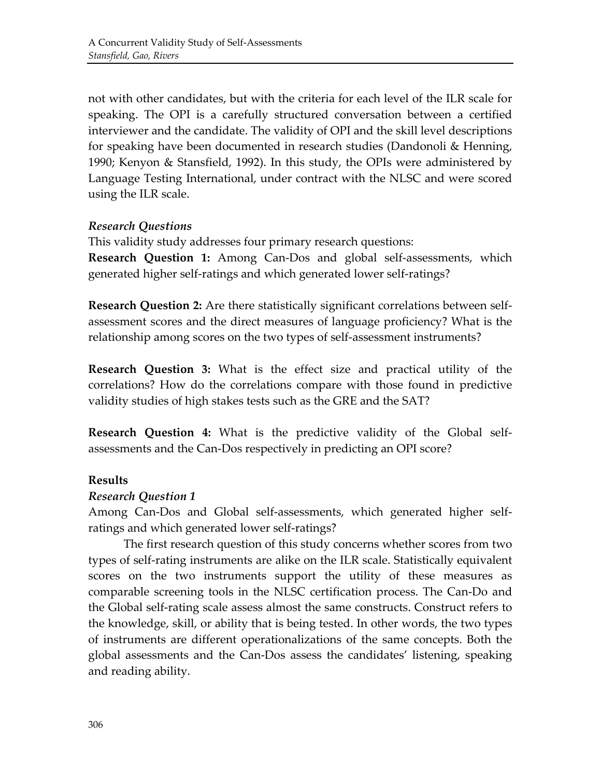not with other candidates, but with the criteria for each level of the ILR scale for speaking. The OPI is a carefully structured conversation between a certified interviewer and the candidate. The validity of OPI and the skill level descriptions for speaking have been documented in research studies (Dandonoli & Henning, 1990; Kenyon  $&$  Stansfield, 1992). In this study, the OPIs were administered by Language Testing International, under contract with the NLSC and were scored using the ILR scale.

## *Research!Questions*

This validity study addresses four primary research questions:

**Research Question 1:** Among Can-Dos and global self-assessments, which generated higher self-ratings and which generated lower self-ratings?

**Research Question 2:** Are there statistically significant correlations between selfassessment scores and the direct measures of language proficiency? What is the relationship among scores on the two types of self-assessment instruments?

**Research Question 3:** What is the effect size and practical utility of the correlations? How do the correlations compare with those found in predictive validity studies of high stakes tests such as the GRE and the SAT?

**Research Question 4:** What is the predictive validity of the Global selfassessments and the Can-Dos respectively in predicting an OPI score?

## **Results**

#### *Research!Question!1*

Among Can-Dos and Global self-assessments, which generated higher selfratings and which generated lower self-ratings?

The first research question of this study concerns whether scores from two types of self-rating instruments are alike on the ILR scale. Statistically equivalent scores on the two instruments support the utility of these measures as comparable screening tools in the NLSC certification process. The Can-Do and the Global self-rating scale assess almost the same constructs. Construct refers to the knowledge, skill, or ability that is being tested. In other words, the two types of instruments are different operationalizations of the same concepts. Both the global assessments and the Can-Dos assess the candidates' listening, speaking and reading ability.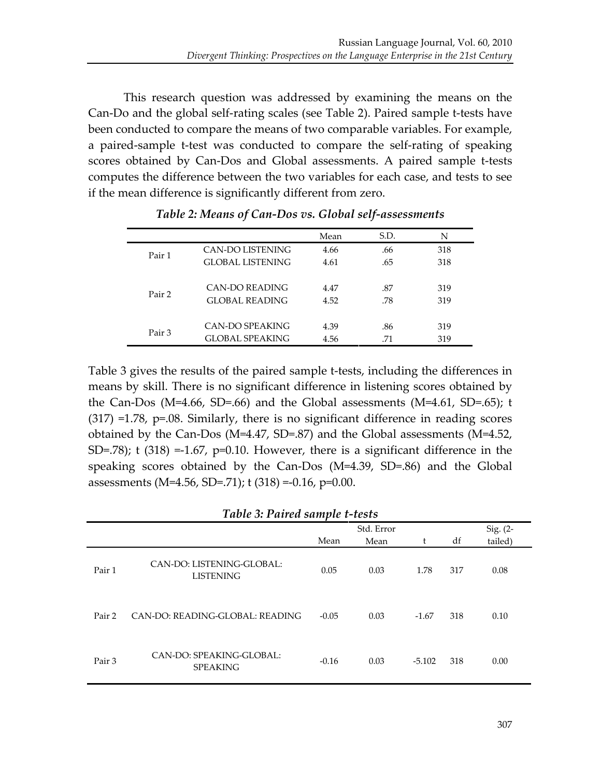This research question was addressed by examining the means on the Can-Do and the global self-rating scales (see Table 2). Paired sample t-tests have been conducted to compare the means of two comparable variables. For example, a paired-sample t-test was conducted to compare the self-rating of speaking scores obtained by Can-Dos and Global assessments. A paired sample t-tests computes the difference between the two variables for each case, and tests to see if the mean difference is significantly different from zero.

|        |                         | Mean | S.D. | N   |
|--------|-------------------------|------|------|-----|
| Pair 1 | CAN-DO LISTENING        | 4.66 | .66  | 318 |
|        | <b>GLOBAL LISTENING</b> | 4.61 | .65  | 318 |
| Pair 2 | CAN-DO READING          | 4.47 | .87  | 319 |
|        | <b>GLOBAL READING</b>   | 4.52 | .78  | 319 |
|        | CAN-DO SPEAKING         | 4.39 | .86  | 319 |
| Pair 3 | <b>GLOBAL SPEAKING</b>  | 4.56 | .71  | 319 |

*Table 2: Means of Can-Dos vs. Global self-assessments* 

Table 3 gives the results of the paired sample t-tests, including the differences in means by skill. There is no significant difference in listening scores obtained by the Can-Dos (M=4.66, SD=.66) and the Global assessments (M=4.61, SD=.65); t  $(317)$  =1.78, p=.08. Similarly, there is no significant difference in reading scores obtained by the Can-Dos (M=4.47, SD=.87) and the Global assessments (M=4.52, SD=.78); t (318) =-1.67,  $p=0.10$ . However, there is a significant difference in the speaking scores obtained by the Can-Dos  $(M=4.39, SD=.86)$  and the Global assessments (M=4.56, SD=.71); t (318) =-0.16, p=0.00.

| <b>Table 3: Paired sample t-tests</b> |                                               |         |            |          |     |         |  |  |  |
|---------------------------------------|-----------------------------------------------|---------|------------|----------|-----|---------|--|--|--|
|                                       |                                               |         | Std. Error |          |     |         |  |  |  |
|                                       |                                               | Mean    | Mean       |          | df  | tailed) |  |  |  |
| Pair 1                                | CAN-DO: LISTENING-GLOBAL:<br><b>LISTENING</b> | 0.05    | 0.03       | 1.78     | 317 | 0.08    |  |  |  |
| Pair 2                                | CAN-DO: READING-GLOBAL: READING               | $-0.05$ | 0.03       | $-1.67$  | 318 | 0.10    |  |  |  |
| Pair 3                                | CAN-DO: SPEAKING-GLOBAL:<br><b>SPEAKING</b>   | $-0.16$ | 0.03       | $-5.102$ | 318 | 0.00    |  |  |  |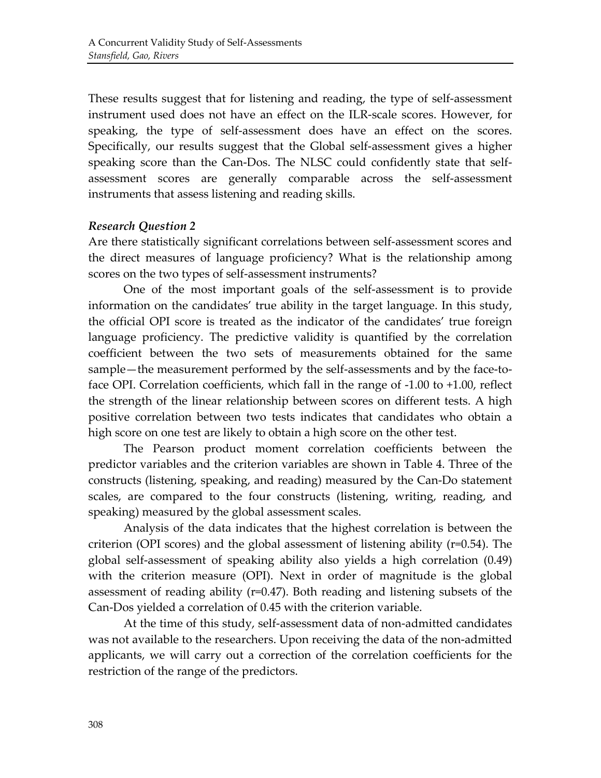These results suggest that for listening and reading, the type of self-assessment instrument used does not have an effect on the ILR-scale scores. However, for speaking, the type of self-assessment does have an effect on the scores. Specifically, our results suggest that the Global self-assessment gives a higher speaking score than the Can-Dos. The NLSC could confidently state that selfassessment scores are generally comparable across the self-assessment instruments that assess listening and reading skills.

#### *Research!Question!2*

Are there statistically significant correlations between self-assessment scores and the direct measures of language proficiency? What is the relationship among scores on the two types of self-assessment instruments?

One of the most important goals of the self-assessment is to provide information' on the candidates' true ability in the target language. In this study, the official OPI score is treated as the indicator of the candidates' true foreign language proficiency. The predictive validity is quantified by the correlation coefficient between the two sets of measurements obtained for the same sample—the measurement performed by the self-assessments and by the face-toface OPI. Correlation coefficients, which fall in the range of  $-1.00$  to  $+1.00$ , reflect the strength of the linear relationship between scores on different tests. A high positive correlation between two tests indicates that candidates who obtain a high score on one test are likely to obtain a high score on the other test.

The Pearson product moment correlation coefficients between the predictor variables and the criterion variables are shown in Table 4. Three of the constructs (listening, speaking, and reading) measured by the Can-Do statement scales, are compared to the four constructs (listening, writing, reading, and speaking) measured by the global assessment scales.

Analysis of the data indicates that the highest correlation is between the criterion (OPI scores) and the global assessment of listening ability ( $r=0.54$ ). The global self-assessment of speaking ability also yields a high correlation  $(0.49)$ with the criterion measure (OPI). Next in order of magnitude is the global assessment of reading ability ( $r=0.47$ ). Both reading and listening subsets of the Can-Dos yielded a correlation of 0.45 with the criterion variable.

At the time of this study, self-assessment data of non-admitted candidates was not available to the researchers. Upon receiving the data of the non-admitted applicants, we will carry out a correction of the correlation coefficients for the restriction of the range of the predictors.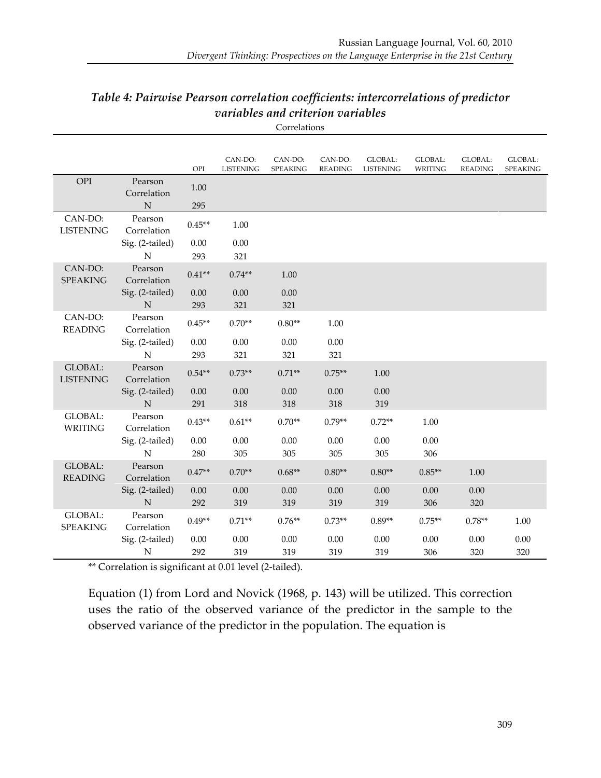| Table 4: Pairwise Pearson correlation coefficients: intercorrelations of predictor |
|------------------------------------------------------------------------------------|
| variables and criterion variables                                                  |

Correlations

|                                    |                                | OPI         | CAN-DO:<br><b>LISTENING</b> | CAN-DO:<br>SPEAKING | CAN-DO:<br><b>READING</b> | GLOBAL:<br><b>LISTENING</b> | GLOBAL:<br><b>WRITING</b> | GLOBAL:<br><b>READING</b> | GLOBAL:<br>SPEAKING |
|------------------------------------|--------------------------------|-------------|-----------------------------|---------------------|---------------------------|-----------------------------|---------------------------|---------------------------|---------------------|
| OPI                                | Pearson<br>Correlation         | 1.00        |                             |                     |                           |                             |                           |                           |                     |
|                                    | $\mathbb N$                    | 295         |                             |                     |                           |                             |                           |                           |                     |
| CAN-DO:<br><b>LISTENING</b>        | Pearson<br>Correlation         | $0.45**$    | 1.00                        |                     |                           |                             |                           |                           |                     |
|                                    | Sig. (2-tailed)<br>N           | 0.00<br>293 | 0.00<br>321                 |                     |                           |                             |                           |                           |                     |
| CAN-DO:<br><b>SPEAKING</b>         | Pearson<br>Correlation         | $0.41**$    | $0.74**$                    | 1.00                |                           |                             |                           |                           |                     |
|                                    | Sig. (2-tailed)<br>$\mathbb N$ | 0.00<br>293 | 0.00<br>321                 | 0.00<br>321         |                           |                             |                           |                           |                     |
| CAN-DO:<br><b>READING</b>          | Pearson<br>Correlation         | $0.45**$    | $0.70**$                    | $0.80**$            | 1.00                      |                             |                           |                           |                     |
|                                    | Sig. (2-tailed)                | 0.00        | 0.00                        | 0.00                | 0.00                      |                             |                           |                           |                     |
|                                    | ${\bf N}$                      | 293         | 321                         | 321                 | 321                       |                             |                           |                           |                     |
| <b>GLOBAL:</b><br><b>LISTENING</b> | Pearson<br>Correlation         | $0.54**$    | $0.73**$                    | $0.71**$            | $0.75**$                  | 1.00                        |                           |                           |                     |
|                                    | Sig. (2-tailed)<br>N           | 0.00<br>291 | 0.00<br>318                 | 0.00<br>318         | 0.00<br>318               | 0.00<br>319                 |                           |                           |                     |
| GLOBAL:<br><b>WRITING</b>          | Pearson<br>Correlation         | $0.43**$    | $0.61**$                    | $0.70**$            | $0.79**$                  | $0.72**$                    | 1.00                      |                           |                     |
|                                    | Sig. (2-tailed)<br>${\bf N}$   | 0.00<br>280 | 0.00<br>305                 | 0.00<br>305         | 0.00<br>305               | 0.00<br>305                 | 0.00<br>306               |                           |                     |
| <b>GLOBAL:</b><br><b>READING</b>   | Pearson<br>Correlation         | $0.47**$    | $0.70**$                    | $0.68**$            | $0.80**$                  | $0.80**$                    | $0.85**$                  | 1.00                      |                     |
|                                    | Sig. (2-tailed)<br>$\mathbb N$ | 0.00<br>292 | 0.00<br>319                 | 0.00<br>319         | 0.00<br>319               | 0.00<br>319                 | 0.00<br>306               | 0.00<br>320               |                     |
| GLOBAL:<br><b>SPEAKING</b>         | Pearson<br>Correlation         | $0.49**$    | $0.71**$                    | $0.76**$            | $0.73**$                  | $0.89**$                    | $0.75**$                  | $0.78**$                  | 1.00                |
|                                    | Sig. (2-tailed)                | 0.00        | 0.00                        | 0.00                | 0.00                      | 0.00                        | 0.00                      | 0.00                      | 0.00                |
|                                    | N                              | 292         | 319                         | 319                 | 319                       | 319                         | 306                       | 320                       | 320                 |

\*\* Correlation is significant at 0.01 level (2-tailed).

Equation (1) from Lord and Novick (1968, p. 143) will be utilized. This correction uses the ratio of the observed variance of the predictor in the sample to the observed variance of the predictor in the population. The equation is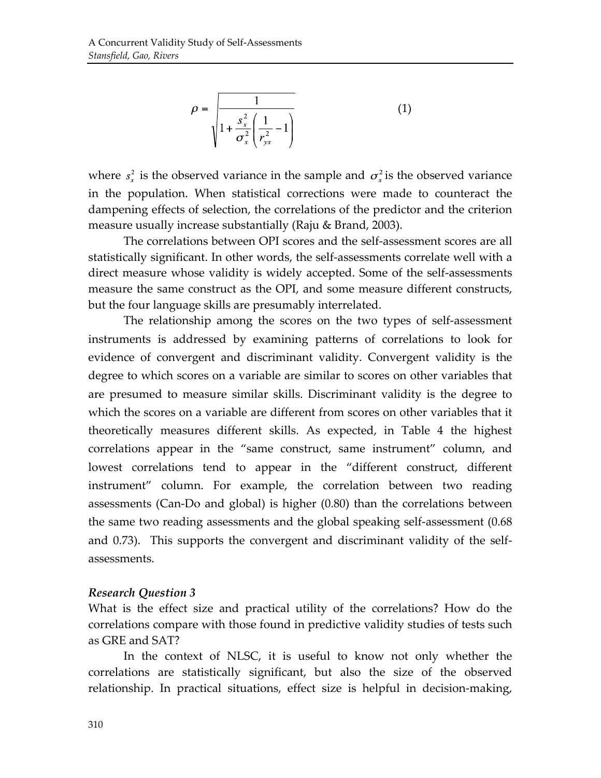$$
\rho = \frac{1}{\sqrt{1 + \frac{s_x^2}{\sigma_x^2} \left(\frac{1}{r_{yx}^2} - 1\right)}}
$$
(1)

where  $s_r^2$  is the observed variance in the sample and  $\sigma_r^2$  is the observed variance in the population. When statistical corrections were made to counteract the dampening effects of selection, the correlations of the predictor and the criterion measure usually increase substantially (Raju & Brand, 2003).

The correlations between OPI scores and the self-assessment scores are all statistically significant. In other words, the self-assessments correlate well with a direct measure whose validity is widely accepted. Some of the self-assessments measure the same construct as the OPI, and some measure different constructs, but the four language skills are presumably interrelated.

The relationship among the scores on the two types of self-assessment instruments is addressed by examining patterns of correlations to look for evidence of convergent and discriminant validity. Convergent validity is the degree to which scores on a variable are similar to scores on other variables that are presumed to measure similar skills. Discriminant validity is the degree to which the scores on a variable are different from scores on other variables that it theoretically measures different skills. As expected, in Table 4 the highest correlations appear in the "same construct, same instrument" column, and lowest correlations tend to appear in the "different construct, different instrument" column. For example, the correlation between two reading assessments (Can-Do and global) is higher  $(0.80)$  than the correlations between the same two reading assessments and the global speaking self-assessment (0.68) and 0.73). This supports the convergent and discriminant validity of the selfassessments.'

#### *Research!Question!3*

What is the effect size and practical utility of the correlations? How do the correlations compare with those found in predictive validity studies of tests such as GRE and SAT?

In the context of NLSC, it is useful to know not only whether the correlations are statistically significant, but also the size of the observed relationship. In practical situations, effect size is helpful in decision-making,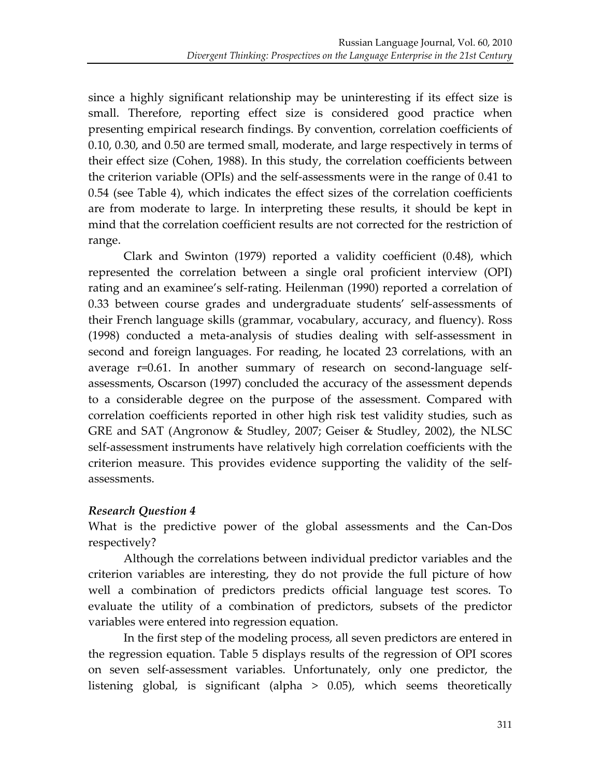since a highly significant relationship may be uninteresting if its effect size is small. Therefore, reporting effect size is considered good practice when presenting empirical research findings. By convention, correlation coefficients of 0.10, 0.30, and 0.50 are termed small, moderate, and large respectively in terms of their effect size (Cohen, 1988). In this study, the correlation coefficients between the criterion variable (OPIs) and the self-assessments were in the range of 0.41 to 0.54 (see Table 4), which indicates the effect sizes of the correlation coefficients are from moderate to large. In interpreting these results, it should be kept in mind that the correlation coefficient results are not corrected for the restriction of range.

Clark and Swinton (1979) reported a validity coefficient (0.48), which represented the correlation between a single oral proficient interview (OPI) rating and an examinee's self-rating. Heilenman (1990) reported a correlation of 0.33 between course grades and undergraduate students' self-assessments of their French language skills (grammar, vocabulary, accuracy, and fluency). Ross  $(1998)$  conducted a meta-analysis of studies dealing with self-assessment in second and foreign languages. For reading, he located 23 correlations, with an average r=0.61. In another summary of research on second-language selfassessments, Oscarson (1997) concluded the accuracy of the assessment depends to a considerable degree on the purpose of the assessment. Compared with correlation coefficients reported in other high risk test validity studies, such as GRE and SAT (Angronow & Studley, 2007; Geiser & Studley, 2002), the NLSC self-assessment instruments have relatively high correlation coefficients with the criterion measure. This provides evidence supporting the validity of the selfassessments.'

## *Research!Question!4*

What is the predictive power of the global assessments and the Can-Dos respectively?

Although the correlations between individual predictor variables and the criterion variables are interesting, they do not provide the full picture of how well a combination of predictors predicts official language test scores. To evaluate the utility of a combination of predictors, subsets of the predictor variables were entered into regression equation.

In the first step of the modeling process, all seven predictors are entered in the regression equation. Table 5 displays results of the regression of OPI scores on seven self-assessment variables. Unfortunately, only one predictor, the listening global, is significant (alpha  $>$  0.05), which seems theoretically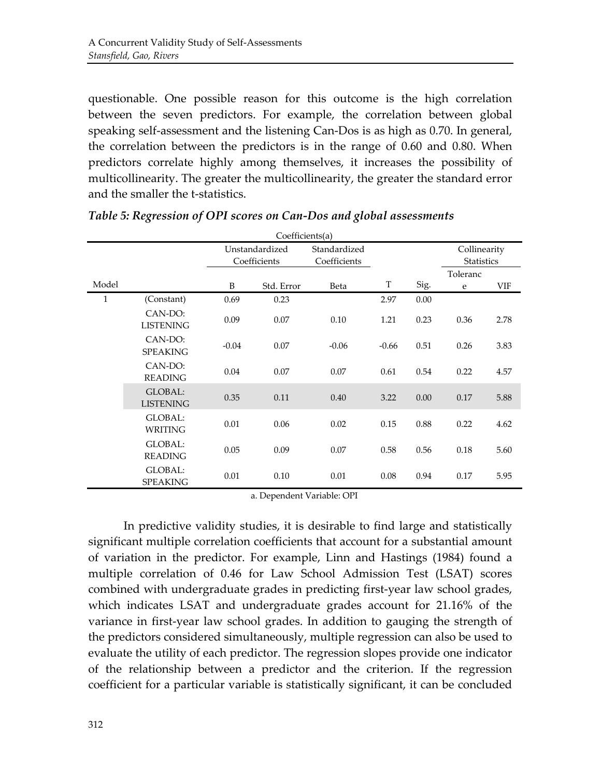questionable. One possible reason for this outcome is the high correlation between the seven predictors. For example, the correlation between global speaking self-assessment and the listening Can-Dos is as high as 0.70. In general, the correlation between the predictors is in the range of  $0.60$  and  $0.80$ . When predictors correlate highly among themselves, it increases the possibility of multicollinearity. The greater the multicollinearity, the greater the standard error and the smaller the t-statistics.

|              | Coefficients(a)                   |                                |            |                              |         |      |                                   |      |  |
|--------------|-----------------------------------|--------------------------------|------------|------------------------------|---------|------|-----------------------------------|------|--|
|              |                                   | Unstandardized<br>Coefficients |            | Standardized<br>Coefficients |         |      | Collinearity<br><b>Statistics</b> |      |  |
|              |                                   |                                |            |                              |         |      | Toleranc                          |      |  |
| Model        |                                   | B                              | Std. Error | Beta                         | T       | Sig. | e                                 | VIF  |  |
| $\mathbf{1}$ | (Constant)                        | 0.69                           | 0.23       |                              | 2.97    | 0.00 |                                   |      |  |
|              | CAN-DO:<br><b>LISTENING</b>       | 0.09                           | 0.07       | 0.10                         | 1.21    | 0.23 | 0.36                              | 2.78 |  |
|              | CAN-DO:<br><b>SPEAKING</b>        | $-0.04$                        | 0.07       | $-0.06$                      | $-0.66$ | 0.51 | 0.26                              | 3.83 |  |
|              | CAN-DO:<br><b>READING</b>         | 0.04                           | 0.07       | 0.07                         | 0.61    | 0.54 | 0.22                              | 4.57 |  |
|              | GLOBAL:<br><b>LISTENING</b>       | 0.35                           | 0.11       | 0.40                         | 3.22    | 0.00 | 0.17                              | 5.88 |  |
|              | GLOBAL:<br>WRITING                | 0.01                           | 0.06       | 0.02                         | 0.15    | 0.88 | 0.22                              | 4.62 |  |
|              | GLOBAL:<br><b>READING</b>         | 0.05                           | 0.09       | 0.07                         | 0.58    | 0.56 | 0.18                              | 5.60 |  |
|              | <b>GLOBAL:</b><br><b>SPEAKING</b> | 0.01                           | 0.10       | 0.01                         | 0.08    | 0.94 | 0.17                              | 5.95 |  |

*Table 5: Regression of OPI scores on Can-Dos and global assessments* 

a. Dependent Variable: OPI

In predictive validity studies, it is desirable to find large and statistically significant multiple correlation coefficients that account for a substantial amount of variation in the predictor. For example, Linn and Hastings (1984) found a multiple correlation of 0.46 for Law School Admission Test (LSAT) scores combined with undergraduate grades in predicting first-year law school grades, which indicates LSAT and undergraduate grades account for 21.16% of the variance in first-year law school grades. In addition to gauging the strength of the predictors considered simultaneously, multiple regression can also be used to evaluate the utility of each predictor. The regression slopes provide one indicator of the relationship between a predictor and the criterion. If the regression coefficient for a particular variable is statistically significant, it can be concluded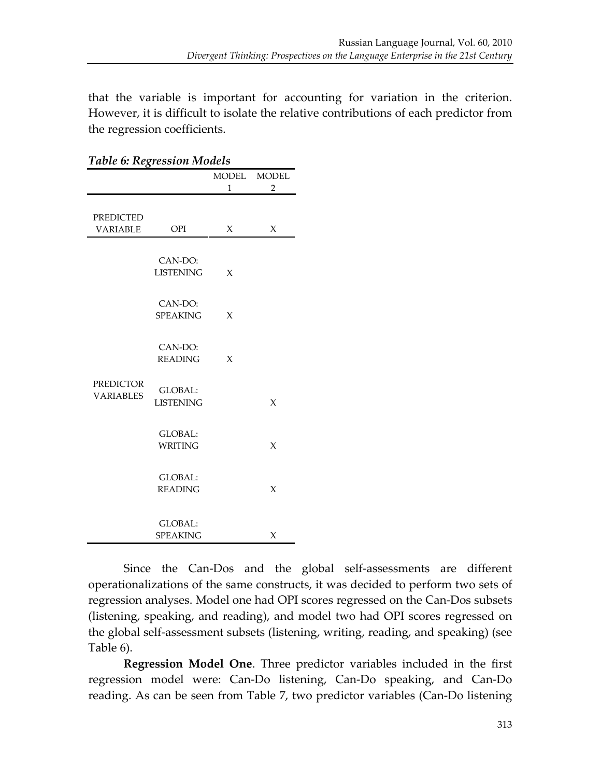that the variable is important for accounting for variation in the criterion. However, it is difficult to isolate the relative contributions of each predictor from the regression coefficients.

| Table 6: Regression Models |                  |              |                |  |  |  |  |  |
|----------------------------|------------------|--------------|----------------|--|--|--|--|--|
|                            |                  | MODEL        | <b>MODEL</b>   |  |  |  |  |  |
|                            |                  | $\mathbf{1}$ | $\overline{2}$ |  |  |  |  |  |
|                            |                  |              |                |  |  |  |  |  |
| <b>PREDICTED</b>           |                  |              |                |  |  |  |  |  |
| <b>VARIABLE</b>            | OPI              | X            | X              |  |  |  |  |  |
|                            |                  |              |                |  |  |  |  |  |
|                            |                  |              |                |  |  |  |  |  |
|                            | CAN-DO:          |              |                |  |  |  |  |  |
|                            | <b>LISTENING</b> | X            |                |  |  |  |  |  |
|                            |                  |              |                |  |  |  |  |  |
|                            | CAN-DO:          |              |                |  |  |  |  |  |
|                            | <b>SPEAKING</b>  | $\chi$       |                |  |  |  |  |  |
|                            |                  |              |                |  |  |  |  |  |
|                            |                  |              |                |  |  |  |  |  |
|                            | CAN-DO:          |              |                |  |  |  |  |  |
|                            | <b>READING</b>   | X            |                |  |  |  |  |  |
| <b>PREDICTOR</b>           |                  |              |                |  |  |  |  |  |
| <b>VARIABLES</b>           | <b>GLOBAL:</b>   |              |                |  |  |  |  |  |
|                            | <b>LISTENING</b> |              | X              |  |  |  |  |  |
|                            |                  |              |                |  |  |  |  |  |
|                            | <b>GLOBAL:</b>   |              |                |  |  |  |  |  |
|                            | WRITING          |              | $\chi$         |  |  |  |  |  |
|                            |                  |              |                |  |  |  |  |  |
|                            |                  |              |                |  |  |  |  |  |
|                            | <b>GLOBAL:</b>   |              |                |  |  |  |  |  |
|                            | <b>READING</b>   |              | X              |  |  |  |  |  |
|                            |                  |              |                |  |  |  |  |  |
|                            | <b>GLOBAL:</b>   |              |                |  |  |  |  |  |
|                            | <b>SPEAKING</b>  |              | X              |  |  |  |  |  |
|                            |                  |              |                |  |  |  |  |  |

*Table!6:!Regression!Models!*

Since the Can-Dos and the global self-assessments are different operationalizations of the same constructs, it was decided to perform two sets of regression analyses. Model one had OPI scores regressed on the Can-Dos subsets (listening, speaking, and reading), and model two had OPI scores regressed on the global self-assessment subsets (listening, writing, reading, and speaking) (see Table  $6$ ).

**Regression Model One**. Three predictor variables included in the first regression model were: Can-Do listening, Can-Do speaking, and Can-Do reading. As can be seen from Table 7, two predictor variables (Can-Do listening)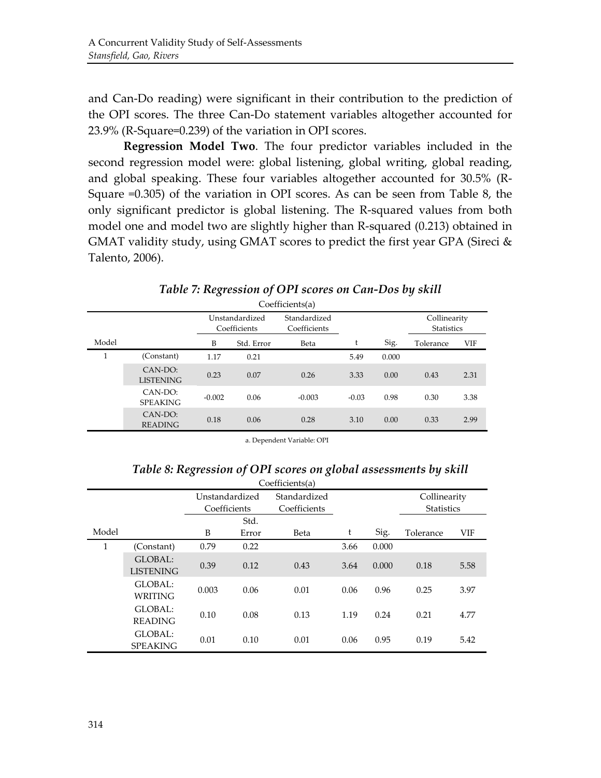and Can-Do reading) were significant in their contribution to the prediction of the OPI scores. The three Can-Do statement variables altogether accounted for  $23.9\%$  (R-Square=0.239) of the variation in OPI scores.

**Regression Model Two**. The four predictor variables included in the second regression model were: global listening, global writing, global reading, and global speaking. These four variables altogether accounted for 30.5% (R-Square  $=0.305$ ) of the variation in OPI scores. As can be seen from Table 8, the only significant predictor is global listening. The R-squared values from both model one and model two are slightly higher than R-squared (0.213) obtained in GMAT validity study, using GMAT scores to predict the first year GPA (Sireci & Talento, 2006).

|       | Coefficients(a)             |                                |            |                              |         |       |                                   |            |  |  |
|-------|-----------------------------|--------------------------------|------------|------------------------------|---------|-------|-----------------------------------|------------|--|--|
|       |                             | Unstandardized<br>Coefficients |            | Standardized<br>Coefficients |         |       | Collinearity<br><b>Statistics</b> |            |  |  |
| Model |                             | B                              | Std. Error | Beta                         | t       | Sig.  | Tolerance                         | <b>VIF</b> |  |  |
| 1     | (Constant)                  | 1.17                           | 0.21       |                              | 5.49    | 0.000 |                                   |            |  |  |
|       | CAN-DO:<br><b>LISTENING</b> | 0.23                           | 0.07       | 0.26                         | 3.33    | 0.00  | 0.43                              | 2.31       |  |  |
|       | CAN-DO:<br><b>SPEAKING</b>  | $-0.002$                       | 0.06       | $-0.003$                     | $-0.03$ | 0.98  | 0.30                              | 3.38       |  |  |
|       | CAN-DO:<br><b>READING</b>   | 0.18                           | 0.06       | 0.28                         | 3.10    | 0.00  | 0.33                              | 2.99       |  |  |

#### *Table 7: Regression of OPI scores on Can-Dos by skill*

a. Dependent Variable: OPI

#### Table 8: Regression of OPI scores on global assessments by skill

|              | Coefficients(a)             |                                |       |                              |      |       |                                   |            |  |
|--------------|-----------------------------|--------------------------------|-------|------------------------------|------|-------|-----------------------------------|------------|--|
|              |                             | Unstandardized<br>Coefficients |       | Standardized<br>Coefficients |      |       | Collinearity<br><b>Statistics</b> |            |  |
|              |                             |                                | Std.  |                              |      |       |                                   |            |  |
| Model        |                             | B                              | Error | Beta                         | t    | Sig.  | Tolerance                         | <b>VIF</b> |  |
| $\mathbf{1}$ | (Constant)                  | 0.79                           | 0.22  |                              | 3.66 | 0.000 |                                   |            |  |
|              | GLOBAL:<br><b>LISTENING</b> | 0.39                           | 0.12  | 0.43                         | 3.64 | 0.000 | 0.18                              | 5.58       |  |
|              | GLOBAL:<br><b>WRITING</b>   | 0.003                          | 0.06  | 0.01                         | 0.06 | 0.96  | 0.25                              | 3.97       |  |
|              | GLOBAL:<br><b>READING</b>   | 0.10                           | 0.08  | 0.13                         | 1.19 | 0.24  | 0.21                              | 4.77       |  |
|              | GLOBAL:<br><b>SPEAKING</b>  | 0.01                           | 0.10  | 0.01                         | 0.06 | 0.95  | 0.19                              | 5.42       |  |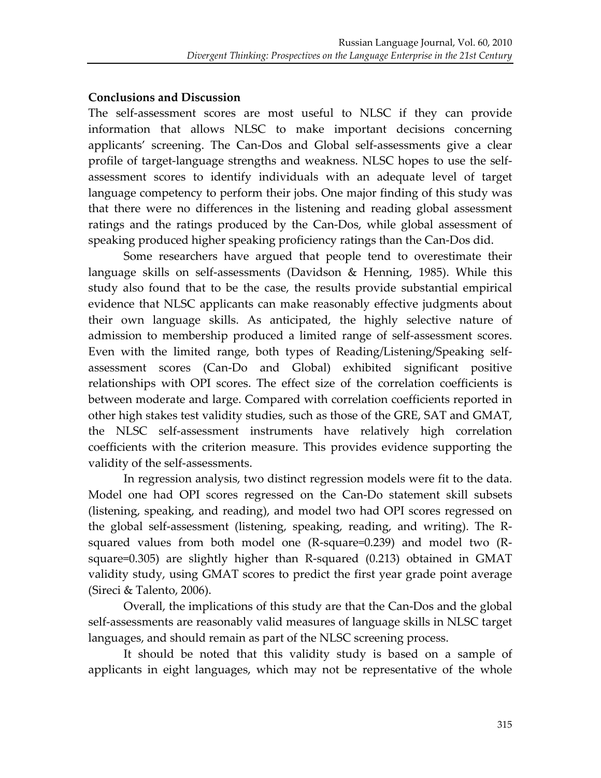#### **Conclusions and Discussion**

The self-assessment scores are most useful to NLSC if they can provide information that allows NLSC to make important decisions concerning applicants' screening. The Can-Dos and Global self-assessments give a clear profile of target-language strengths and weakness. NLSC hopes to use the selfassessment scores to identify individuals with an adequate level of target language competency to perform their jobs. One major finding of this study was that there were no differences in the listening and reading global assessment ratings and the ratings produced by the Can-Dos, while global assessment of speaking produced higher speaking proficiency ratings than the Can-Dos did.

Some researchers have argued that people tend to overestimate their language skills on self-assessments (Davidson & Henning, 1985). While this study also found that to be the case, the results provide substantial empirical evidence that NLSC applicants can make reasonably effective judgments about their own language skills. As anticipated, the highly selective nature of admission to membership produced a limited range of self-assessment scores. Even with the limited range, both types of Reading/Listening/Speaking selfassessment scores (Can-Do and Global) exhibited significant positive relationships with OPI scores. The effect size of the correlation coefficients is between moderate and large. Compared with correlation coefficients reported in other high stakes test validity studies, such as those of the GRE, SAT and GMAT, the NLSC self-assessment instruments have relatively high correlation coefficients with the criterion measure. This provides evidence supporting the validity of the self-assessments.

In regression analysis, two distinct regression models were fit to the data. Model one had OPI scores regressed on the Can-Do statement skill subsets (listening, speaking, and reading), and model two had OPI scores regressed on the global self-assessment (listening, speaking, reading, and writing). The Rsquared values from both model one  $(R$ -square=0.239) and model two  $(R$ square=0.305) are slightly higher than R-squared  $(0.213)$  obtained in GMAT validity study, using GMAT scores to predict the first year grade point average (Sireci & Talento, 2006).

Overall, the implications of this study are that the Can-Dos and the global self-assessments are reasonably valid measures of language skills in NLSC target languages, and should remain as part of the NLSC screening process.

It should be noted that this validity study is based on a sample of applicants in eight languages, which may not be representative of the whole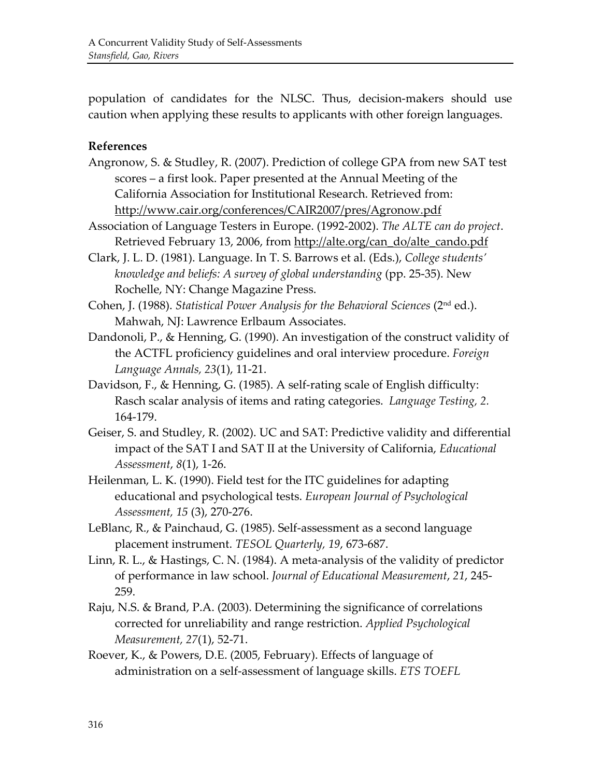population of candidates for the NLSC. Thus, decision-makers should use caution when applying these results to applicants with other foreign languages.

#### **References**

- Angronow, S. & Studley, R. (2007). Prediction of college GPA from new SAT test scores – a first look. Paper presented at the Annual Meeting of the California Association for Institutional Research. Retrieved from: http://www.cair.org/conferences/CAIR2007/pres/Agronow.pdf
- Association of Language Testers in Europe. (1992-2002). *The ALTE can do project*. Retrieved February 13, 2006, from http://alte.org/can\_do/alte\_cando.pdf
- Clark, J. L. D. (1981). Language. In T. S. Barrows et al. (Eds.), *College students' knowledge and beliefs: A survey of global understanding* (pp. 25-35). New Rochelle, NY: Change Magazine Press.
- Cohen, J. (1988). *Statistical Power Analysis for the Behavioral Sciences* (2<sup>nd</sup> ed.). Mahwah, NJ: Lawrence Erlbaum Associates.
- Dandonoli, P., & Henning, G. (1990). An investigation of the construct validity of the ACTFL proficiency guidelines and oral interview procedure. *Foreign Language Annals, 23(1), 11-21.*
- Davidson, F., & Henning, G. (1985). A self-rating scale of English difficulty: Rasch scalar analysis of items and rating categories. *Language Testing*, 2. 164-179.
- Geiser, S. and Studley, R. (2002). UC and SAT: Predictive validity and differential impact of the SAT I and SAT II at the University of California, *Educational Assessment*, *8*(1), 1-26.
- Heilenman, L. K. (1990). Field test for the ITC guidelines for adapting educational'and'psychological'tests.'*European)Journal)of)Psychological) Assessment, 15* (3), 270-276.
- LeBlanc, R., & Painchaud, G. (1985). Self-assessment as a second language placement instrument. *TESOL Quarterly, 19, 673-687*.
- Linn, R. L., & Hastings, C. N. (1984). A meta-analysis of the validity of predictor of performance in law school. *Journal of Educational Measurement*, 21, 245-259.'
- Raju, N.S. & Brand, P.A. (2003). Determining the significance of correlations corrected for unreliability and range restriction. *Applied Psychological Measurement, 27(1), 52-71.*
- Roever, K., & Powers, D.E. (2005, February). Effects of language of administration on a self-assessment of language skills. *ETS TOEFL*